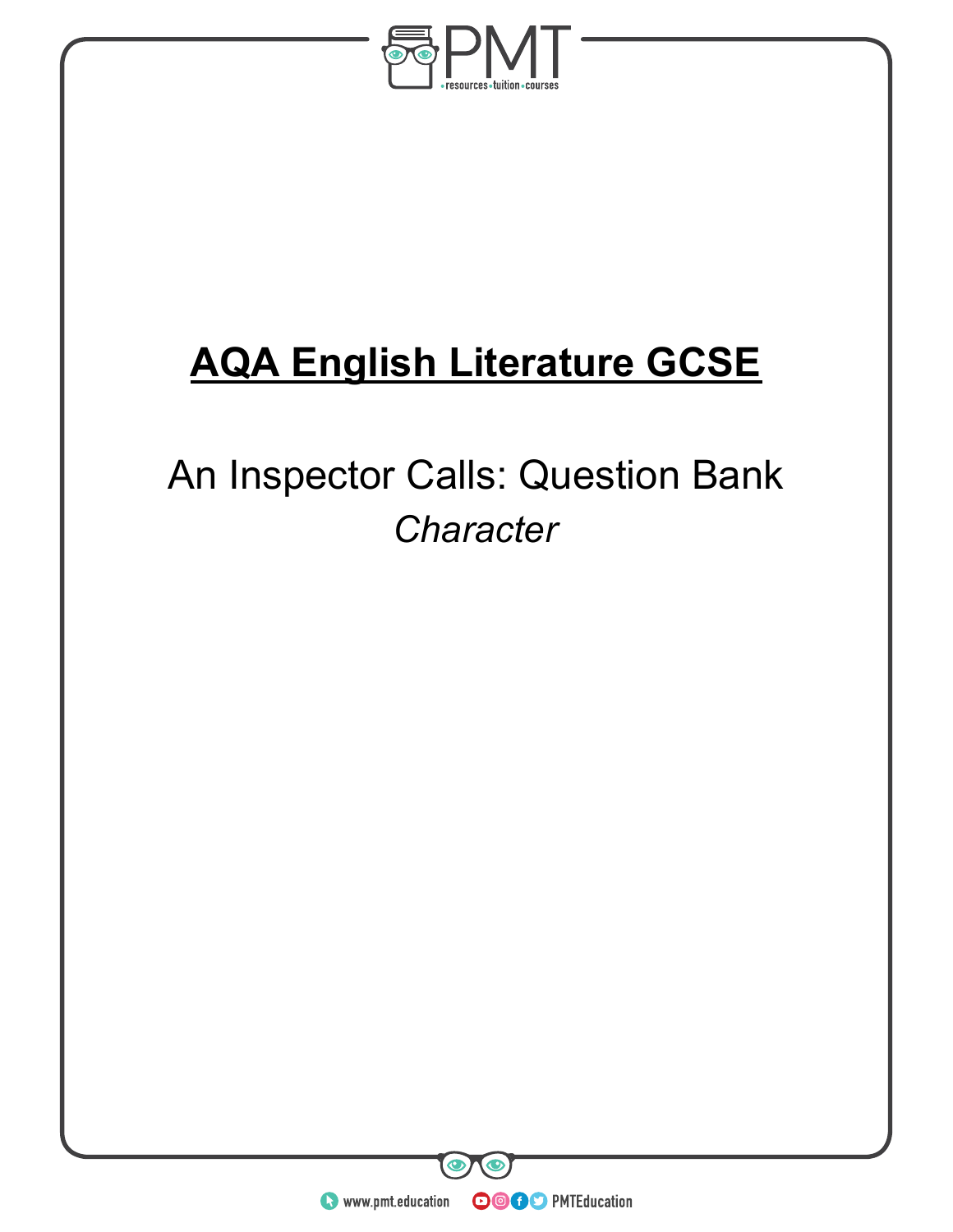

# **AQA English Literature GCSE**

An Inspector Calls: Question Bank *Character*



**OOOO** PMTEducation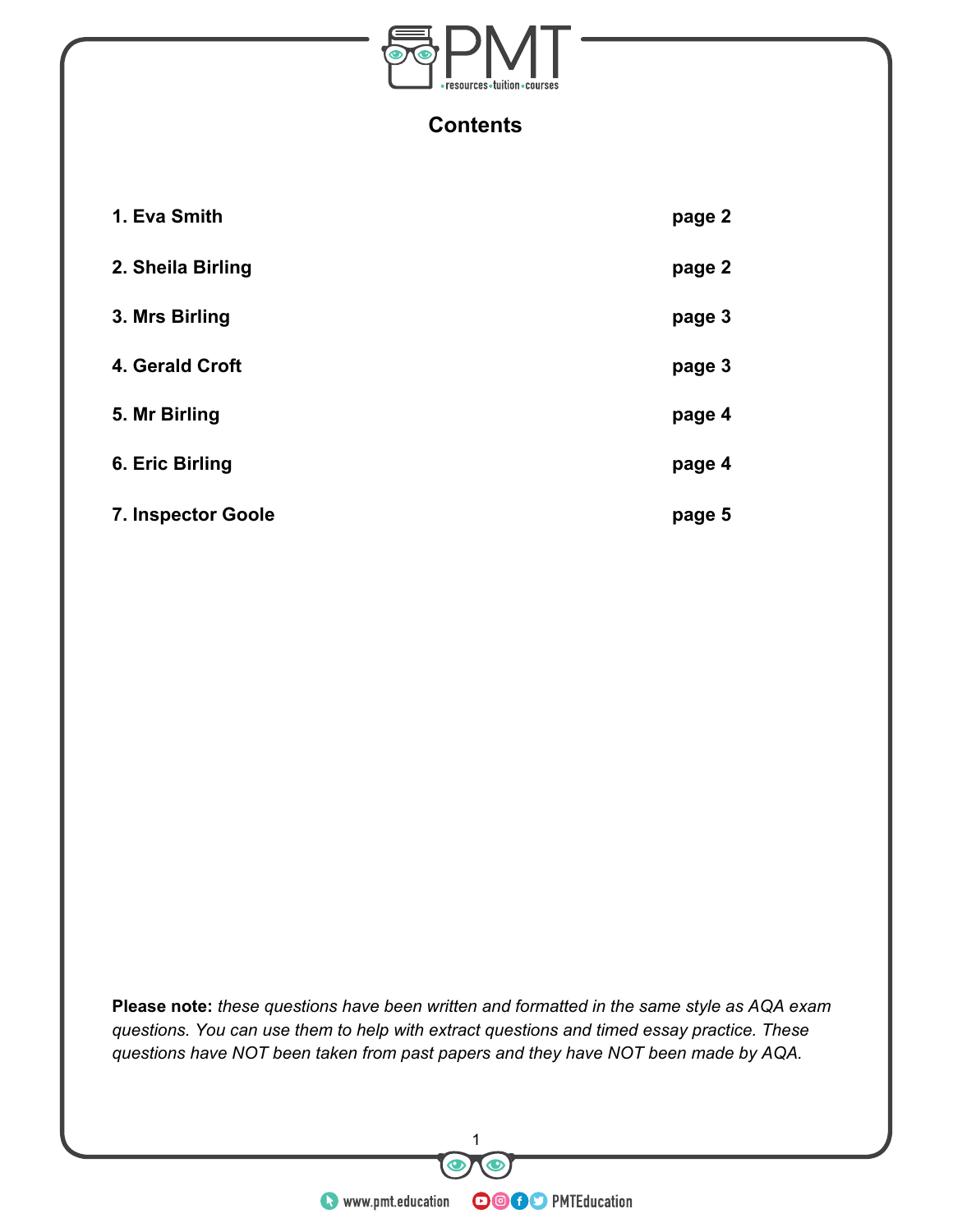

#### **Contents**

| 1. Eva Smith              | page 2 |
|---------------------------|--------|
| 2. Sheila Birling         | page 2 |
| 3. Mrs Birling            | page 3 |
| 4. Gerald Croft           | page 3 |
| 5. Mr Birling             | page 4 |
| 6. Eric Birling           | page 4 |
| <b>7. Inspector Goole</b> | page 5 |

**Please note:** *these questions have been written and formatted in the same style as AQA exam questions. You can use them to help with extract questions and timed essay practice. These questions have NOT been taken from past papers and they have NOT been made by AQA.*

THE SERVICE OF THE SERVICE OF THE SERVICE OF THE SERVICE OF THE SERVICE OF THE SERVICE OF THE SERVICE OF THE SERVICE OF THE SERVICE OF THE SERVICE OF THE SERVICE OF THE SERVICE OF THE SERVICE OF THE SERVICE OF THE SERVICE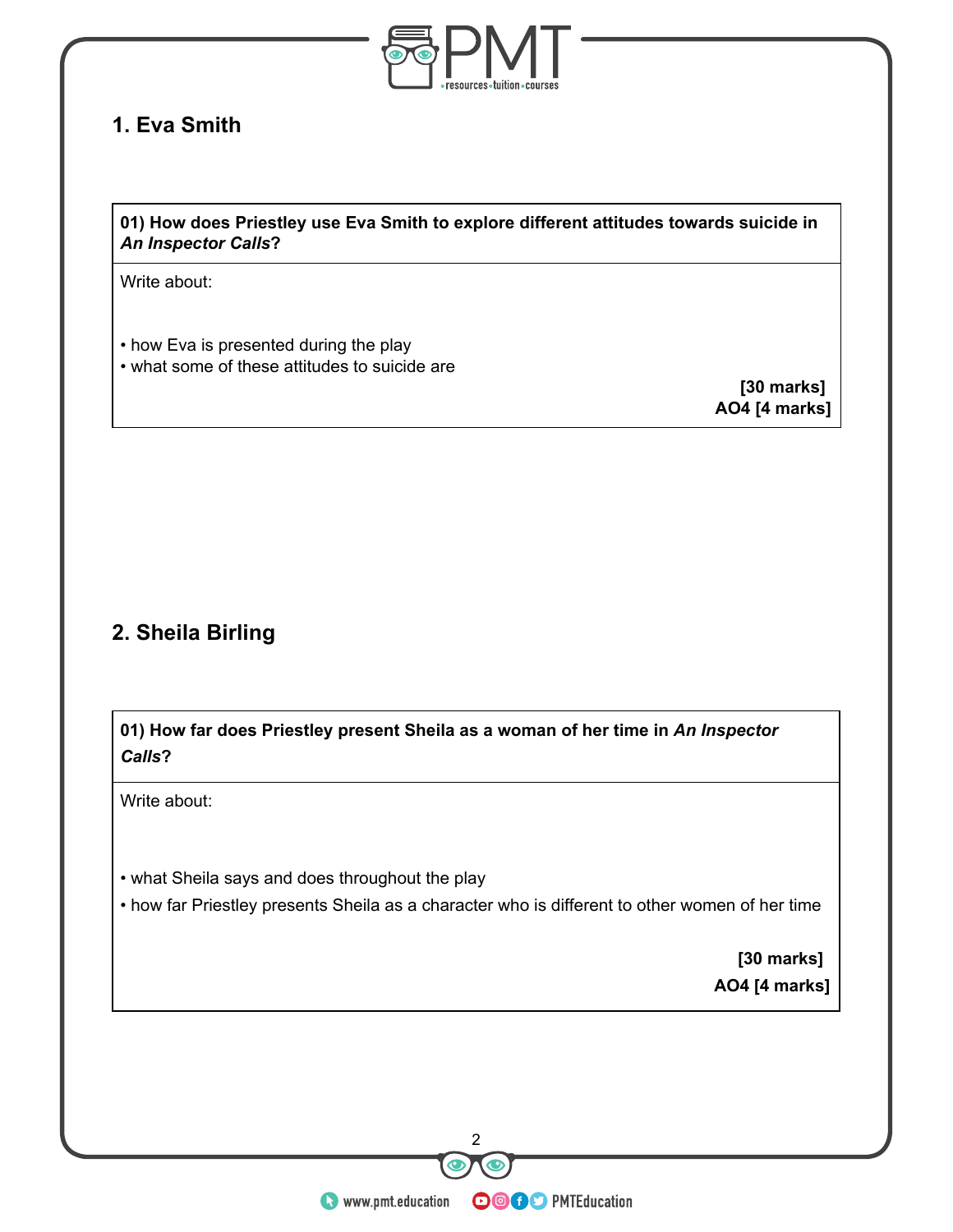

## **1. Eva Smith**

#### **01) How does Priestley use Eva Smith to explore different attitudes towards suicide in** *An Inspector Calls***?**

Write about:

• how Eva is presented during the play • what some of these attitudes to suicide are

**[30 marks] AO4 [4 marks]**

### **2. Sheila Birling**

**01) How far does Priestley present Sheila as a woman of her time in** *An Inspector Calls***?**

Write about:

- what Sheila says and does throughout the play
- how far Priestley presents Sheila as a character who is different to other women of her time

 **[30 marks] AO4 [4 marks]**

and the contraction of the control of the control of the control of the control of the control of the control of the control of the control of the control of the control of the control of the control of the control of the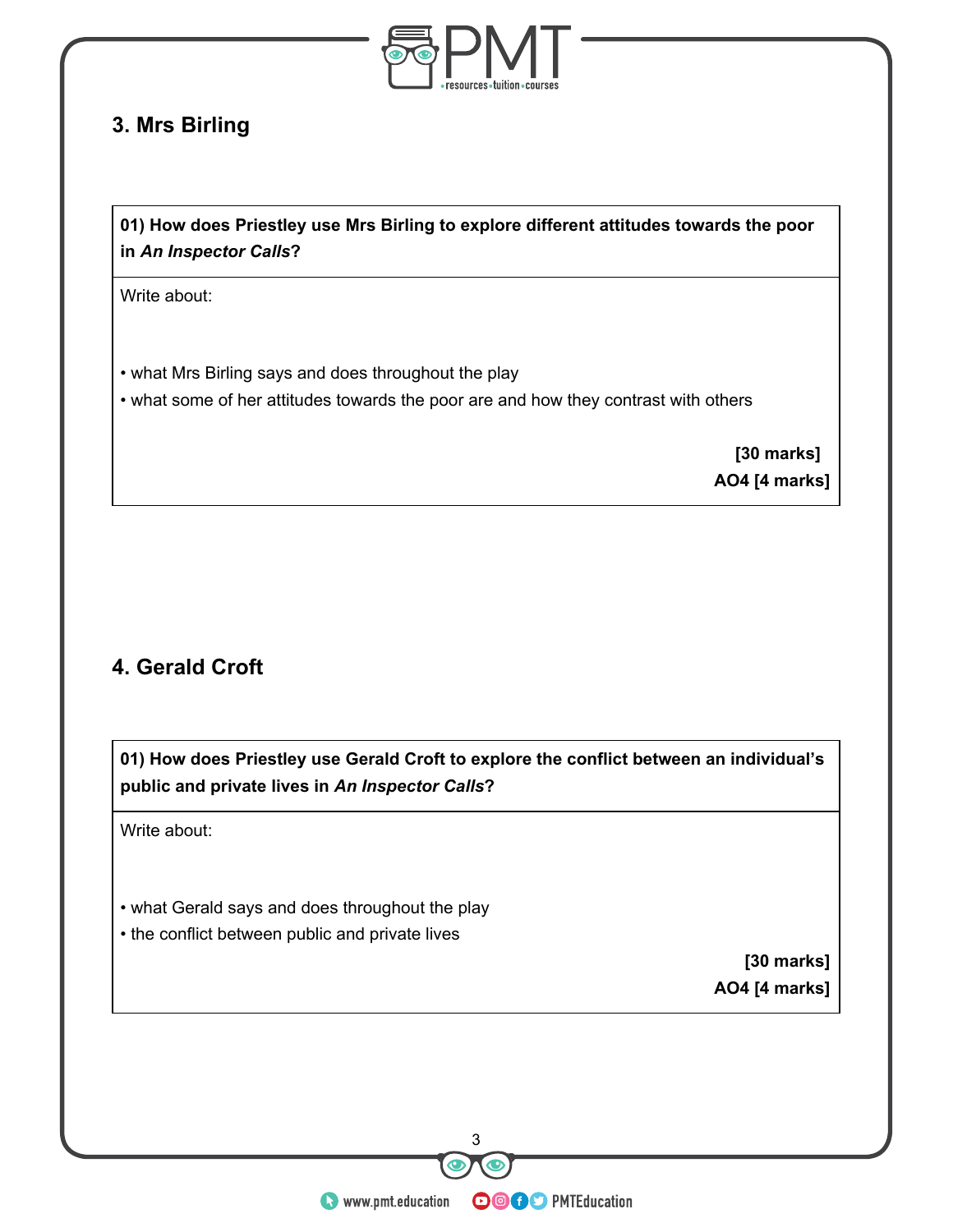

#### **3. Mrs Birling**

**01) How does Priestley use Mrs Birling to explore different attitudes towards the poor in** *An Inspector Calls***?**

Write about:

• what Mrs Birling says and does throughout the play

• what some of her attitudes towards the poor are and how they contrast with others

 **[30 marks] AO4 [4 marks]**

# **4. Gerald Croft**

**01) How does Priestley use Gerald Croft to explore the conflict between an individual's public and private lives in** *An Inspector Calls***?**

Write about:

• what Gerald says and does throughout the play

• the conflict between public and private lives

 **[30 marks] AO4 [4 marks]**

www.pmt.education <sup>3</sup>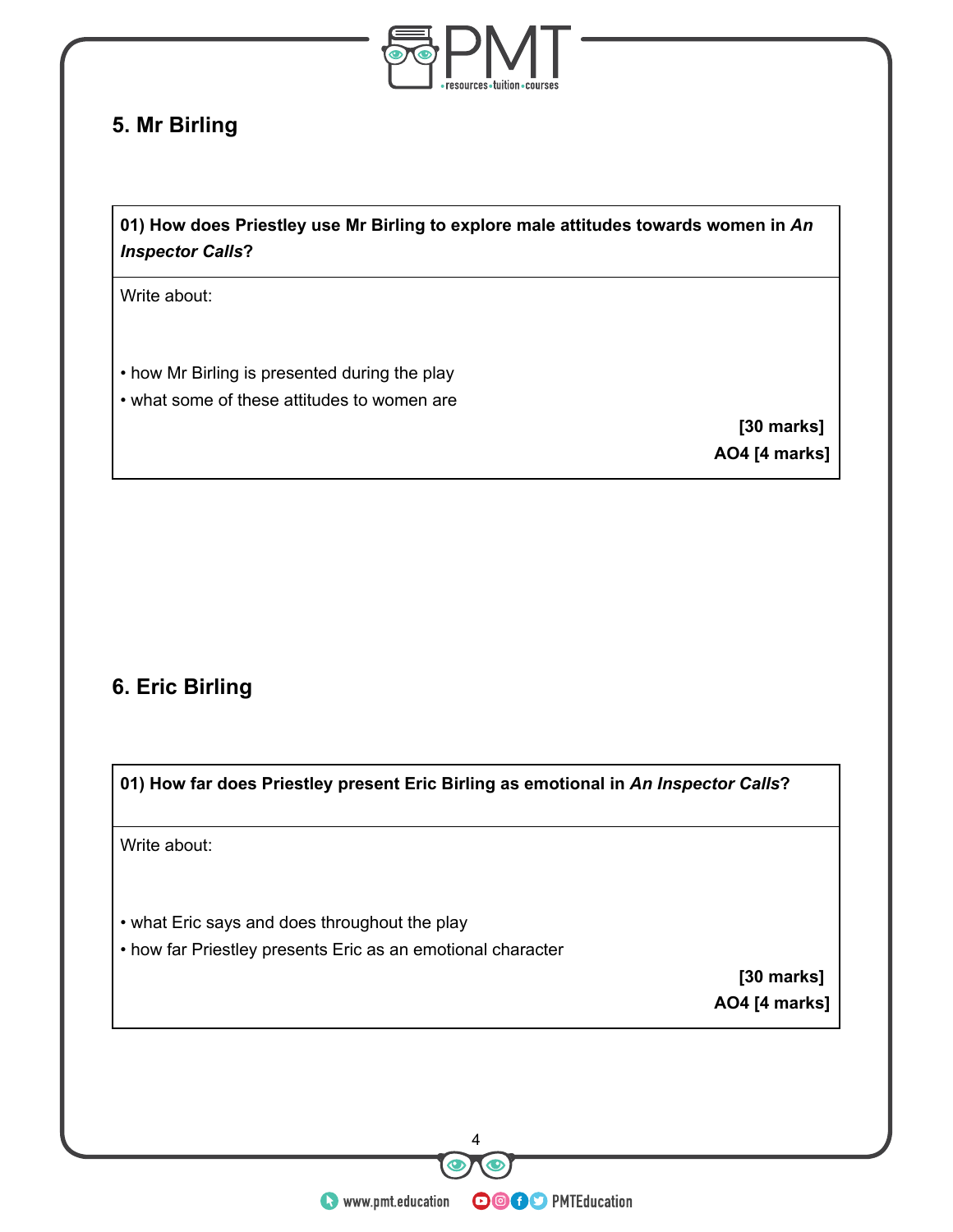

### **5. Mr Birling**

**01) How does Priestley use Mr Birling to explore male attitudes towards women in** *An Inspector Calls***?**

Write about:

• how Mr Birling is presented during the play • what some of these attitudes to women are

> **[30 marks] AO4 [4 marks]**

# **6. Eric Birling**